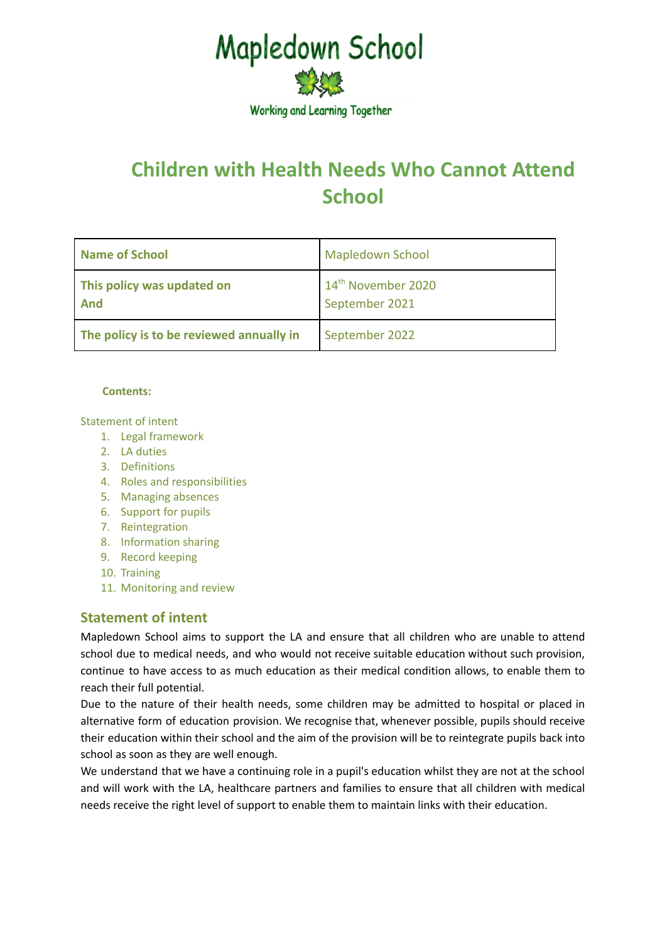

# **Children with Health Needs Who Cannot Attend School**

| Name of School                           | <b>Mapledown School</b>                          |
|------------------------------------------|--------------------------------------------------|
| This policy was updated on<br>And        | 14 <sup>th</sup> November 2020<br>September 2021 |
| The policy is to be reviewed annually in | September 2022                                   |

#### **Contents:**

Statement of intent

- 1. Legal framework
- 2. LA duties
- 3. Definitions
- 4. Roles and responsibilities
- 5. Managing absences
- 6. Support for pupils
- 7. Reintegration
- 8. Information sharing
- 9. Record keeping
- 10. Training
- 11. Monitoring and review

# **Statement of intent**

Mapledown School aims to support the LA and ensure that all children who are unable to attend school due to medical needs, and who would not receive suitable education without such provision, continue to have access to as much education as their medical condition allows, to enable them to reach their full potential.

Due to the nature of their health needs, some children may be admitted to hospital or placed in alternative form of education provision. We recognise that, whenever possible, pupils should receive their education within their school and the aim of the provision will be to reintegrate pupils back into school as soon as they are well enough.

We understand that we have a continuing role in a pupil's education whilst they are not at the school and will work with the LA, healthcare partners and families to ensure that all children with medical needs receive the right level of support to enable them to maintain links with their education.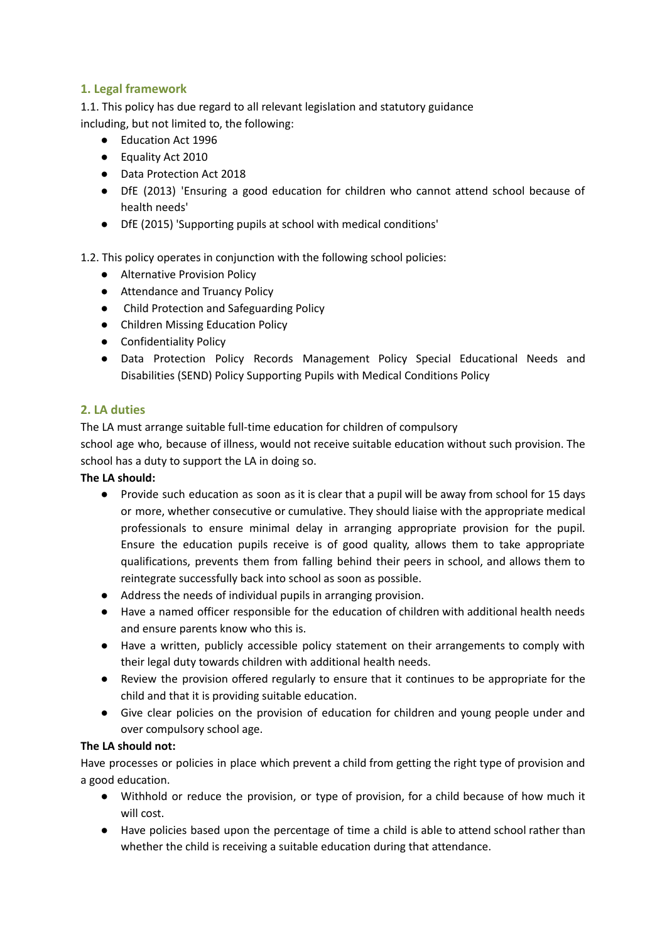# **1. Legal framework**

1.1. This policy has due regard to all relevant legislation and statutory guidance including, but not limited to, the following:

- Education Act 1996
- Equality Act 2010
- Data Protection Act 2018
- DfE (2013) 'Ensuring a good education for children who cannot attend school because of health needs'
- DfE (2015) 'Supporting pupils at school with medical conditions'
- 1.2. This policy operates in conjunction with the following school policies:
	- Alternative Provision Policy
	- Attendance and Truancy Policy
	- Child Protection and Safeguarding Policy
	- Children Missing Education Policy
	- Confidentiality Policy
	- Data Protection Policy Records Management Policy Special Educational Needs and Disabilities (SEND) Policy Supporting Pupils with Medical Conditions Policy

# **2. LA duties**

The LA must arrange suitable full-time education for children of compulsory

school age who, because of illness, would not receive suitable education without such provision. The school has a duty to support the LA in doing so.

## **The LA should:**

- Provide such education as soon as it is clear that a pupil will be away from school for 15 days or more, whether consecutive or cumulative. They should liaise with the appropriate medical professionals to ensure minimal delay in arranging appropriate provision for the pupil. Ensure the education pupils receive is of good quality, allows them to take appropriate qualifications, prevents them from falling behind their peers in school, and allows them to reintegrate successfully back into school as soon as possible.
- Address the needs of individual pupils in arranging provision.
- Have a named officer responsible for the education of children with additional health needs and ensure parents know who this is.
- Have a written, publicly accessible policy statement on their arrangements to comply with their legal duty towards children with additional health needs.
- Review the provision offered regularly to ensure that it continues to be appropriate for the child and that it is providing suitable education.
- Give clear policies on the provision of education for children and young people under and over compulsory school age.

# **The LA should not:**

Have processes or policies in place which prevent a child from getting the right type of provision and a good education.

- Withhold or reduce the provision, or type of provision, for a child because of how much it will cost.
- Have policies based upon the percentage of time a child is able to attend school rather than whether the child is receiving a suitable education during that attendance.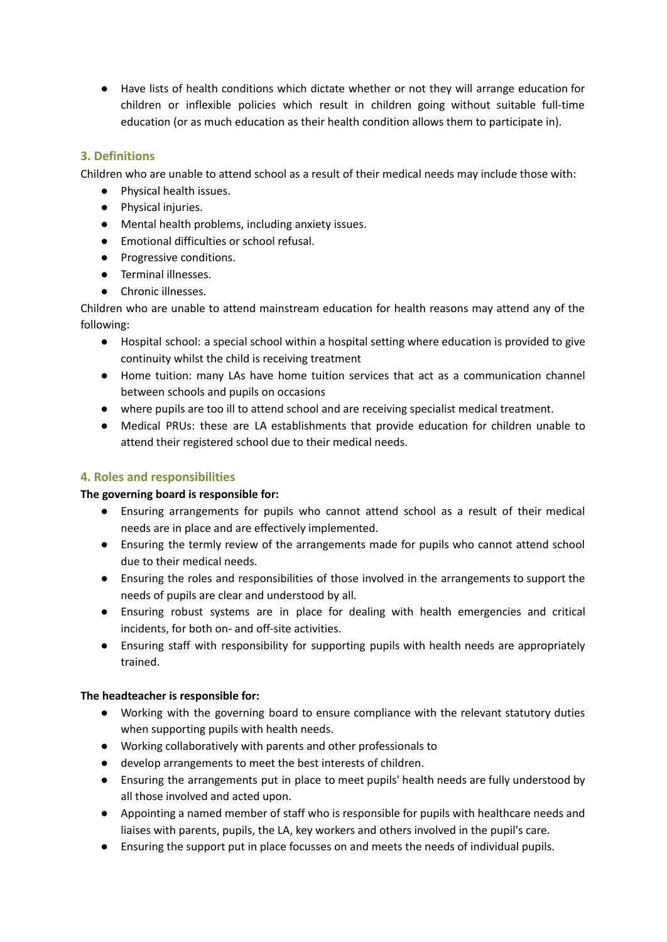● Have lists of health conditions which dictate whether or not they will arrange education for children or inflexible policies which result in children going without suitable full-time education (or as much education as their health condition allows them to participate in).

## **3. Definitions**

Children who are unable to attend school as a result of their medical needs may include those with:

- Physical health issues.
- Physical injuries.
- Mental health problems, including anxiety issues.
- Emotional difficulties or school refusal.
- Progressive conditions.
- Terminal illnesses.
- Chronic illnesses.

Children who are unable to attend mainstream education for health reasons may attend any of the following:

- Hospital school: a special school within a hospital setting where education is provided to give continuity whilst the child is receiving treatment
- Home tuition: many LAs have home tuition services that act as a communication channel between schools and pupils on occasions
- where pupils are too ill to attend school and are receiving specialist medical treatment.
- Medical PRUs: these are LA establishments that provide education for children unable to attend their registered school due to their medical needs.

## **4. Roles and responsibilities**

## **The governing board is responsible for:**

- Ensuring arrangements for pupils who cannot attend school as a result of their medical needs are in place and are effectively implemented.
- Ensuring the termly review of the arrangements made for pupils who cannot attend school due to their medical needs.
- Ensuring the roles and responsibilities of those involved in the arrangements to support the needs of pupils are clear and understood by all.
- Ensuring robust systems are in place for dealing with health emergencies and critical incidents, for both on- and off-site activities.
- Ensuring staff with responsibility for supporting pupils with health needs are appropriately trained.

## **The headteacher is responsible for:**

- Working with the governing board to ensure compliance with the relevant statutory duties when supporting pupils with health needs.
- Working collaboratively with parents and other professionals to
- develop arrangements to meet the best interests of children.
- Ensuring the arrangements put in place to meet pupils' health needs are fully understood by all those involved and acted upon.
- Appointing a named member of staff who is responsible for pupils with healthcare needs and liaises with parents, pupils, the LA, key workers and others involved in the pupil's care.
- Ensuring the support put in place focusses on and meets the needs of individual pupils.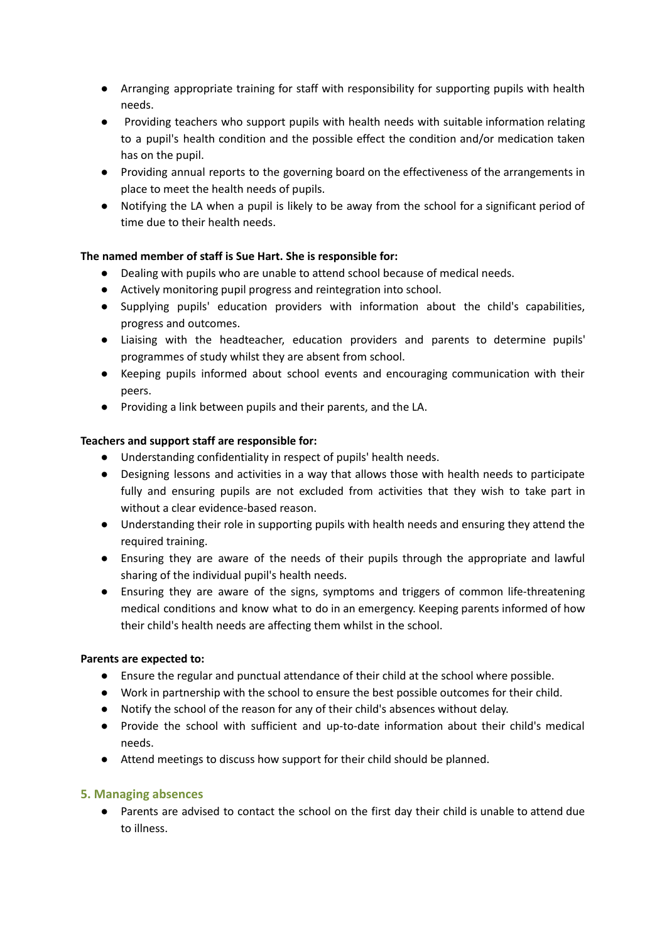- Arranging appropriate training for staff with responsibility for supporting pupils with health needs.
- Providing teachers who support pupils with health needs with suitable information relating to a pupil's health condition and the possible effect the condition and/or medication taken has on the pupil.
- Providing annual reports to the governing board on the effectiveness of the arrangements in place to meet the health needs of pupils.
- Notifying the LA when a pupil is likely to be away from the school for a significant period of time due to their health needs.

## **The named member of staff is Sue Hart. She is responsible for:**

- Dealing with pupils who are unable to attend school because of medical needs.
- Actively monitoring pupil progress and reintegration into school.
- Supplying pupils' education providers with information about the child's capabilities, progress and outcomes.
- Liaising with the headteacher, education providers and parents to determine pupils' programmes of study whilst they are absent from school.
- Keeping pupils informed about school events and encouraging communication with their peers.
- Providing a link between pupils and their parents, and the LA.

## **Teachers and support staff are responsible for:**

- Understanding confidentiality in respect of pupils' health needs.
- Designing lessons and activities in a way that allows those with health needs to participate fully and ensuring pupils are not excluded from activities that they wish to take part in without a clear evidence-based reason.
- Understanding their role in supporting pupils with health needs and ensuring they attend the required training.
- Ensuring they are aware of the needs of their pupils through the appropriate and lawful sharing of the individual pupil's health needs.
- Ensuring they are aware of the signs, symptoms and triggers of common life-threatening medical conditions and know what to do in an emergency. Keeping parents informed of how their child's health needs are affecting them whilst in the school.

## **Parents are expected to:**

- Ensure the regular and punctual attendance of their child at the school where possible.
- Work in partnership with the school to ensure the best possible outcomes for their child.
- Notify the school of the reason for any of their child's absences without delay.
- Provide the school with sufficient and up-to-date information about their child's medical needs.
- Attend meetings to discuss how support for their child should be planned.

## **5. Managing absences**

● Parents are advised to contact the school on the first day their child is unable to attend due to illness.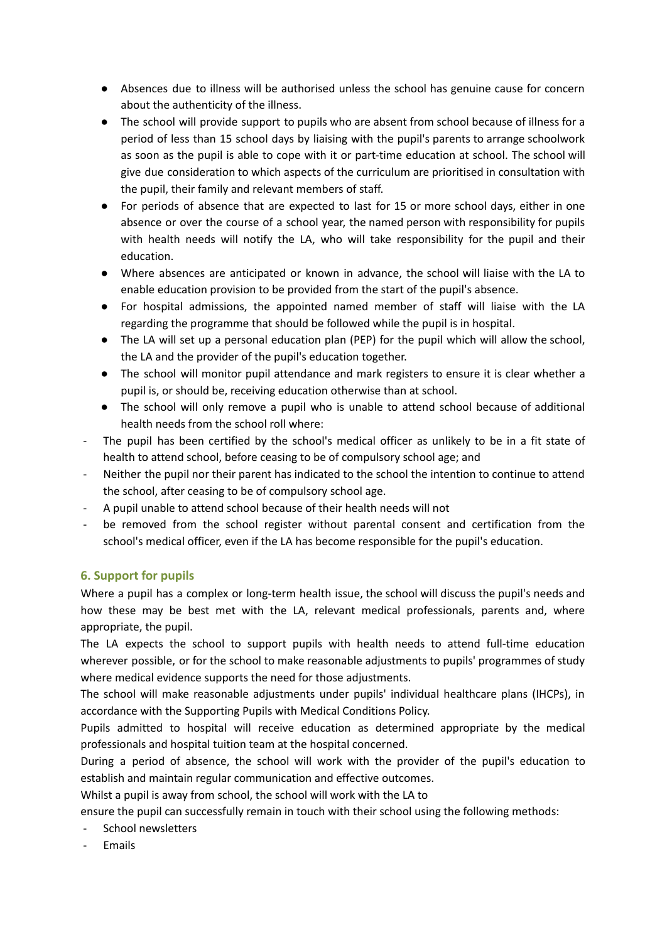- Absences due to illness will be authorised unless the school has genuine cause for concern about the authenticity of the illness.
- The school will provide support to pupils who are absent from school because of illness for a period of less than 15 school days by liaising with the pupil's parents to arrange schoolwork as soon as the pupil is able to cope with it or part-time education at school. The school will give due consideration to which aspects of the curriculum are prioritised in consultation with the pupil, their family and relevant members of staff.
- For periods of absence that are expected to last for 15 or more school days, either in one absence or over the course of a school year, the named person with responsibility for pupils with health needs will notify the LA, who will take responsibility for the pupil and their education.
- Where absences are anticipated or known in advance, the school will liaise with the LA to enable education provision to be provided from the start of the pupil's absence.
- For hospital admissions, the appointed named member of staff will liaise with the LA regarding the programme that should be followed while the pupil is in hospital.
- The LA will set up a personal education plan (PEP) for the pupil which will allow the school, the LA and the provider of the pupil's education together.
- The school will monitor pupil attendance and mark registers to ensure it is clear whether a pupil is, or should be, receiving education otherwise than at school.
- The school will only remove a pupil who is unable to attend school because of additional health needs from the school roll where:
- The pupil has been certified by the school's medical officer as unlikely to be in a fit state of health to attend school, before ceasing to be of compulsory school age; and
- Neither the pupil nor their parent has indicated to the school the intention to continue to attend the school, after ceasing to be of compulsory school age.
- A pupil unable to attend school because of their health needs will not
- be removed from the school register without parental consent and certification from the school's medical officer, even if the LA has become responsible for the pupil's education.

## **6. Support for pupils**

Where a pupil has a complex or long-term health issue, the school will discuss the pupil's needs and how these may be best met with the LA, relevant medical professionals, parents and, where appropriate, the pupil.

The LA expects the school to support pupils with health needs to attend full-time education wherever possible, or for the school to make reasonable adjustments to pupils' programmes of study where medical evidence supports the need for those adjustments.

The school will make reasonable adjustments under pupils' individual healthcare plans (IHCPs), in accordance with the Supporting Pupils with Medical Conditions Policy.

Pupils admitted to hospital will receive education as determined appropriate by the medical professionals and hospital tuition team at the hospital concerned.

During a period of absence, the school will work with the provider of the pupil's education to establish and maintain regular communication and effective outcomes.

Whilst a pupil is away from school, the school will work with the LA to

ensure the pupil can successfully remain in touch with their school using the following methods:

- School newsletters
- **Fmails**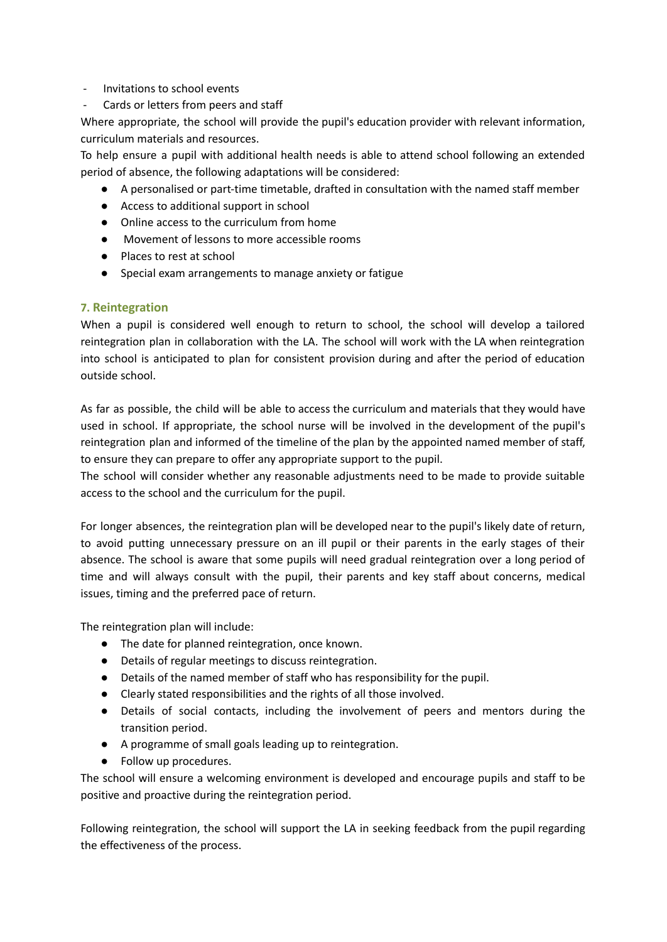- Invitations to school events
- Cards or letters from peers and staff

Where appropriate, the school will provide the pupil's education provider with relevant information, curriculum materials and resources.

To help ensure a pupil with additional health needs is able to attend school following an extended period of absence, the following adaptations will be considered:

- A personalised or part-time timetable, drafted in consultation with the named staff member
- Access to additional support in school
- Online access to the curriculum from home
- Movement of lessons to more accessible rooms
- Places to rest at school
- Special exam arrangements to manage anxiety or fatigue

#### **7. Reintegration**

When a pupil is considered well enough to return to school, the school will develop a tailored reintegration plan in collaboration with the LA. The school will work with the LA when reintegration into school is anticipated to plan for consistent provision during and after the period of education outside school.

As far as possible, the child will be able to access the curriculum and materials that they would have used in school. If appropriate, the school nurse will be involved in the development of the pupil's reintegration plan and informed of the timeline of the plan by the appointed named member of staff, to ensure they can prepare to offer any appropriate support to the pupil.

The school will consider whether any reasonable adjustments need to be made to provide suitable access to the school and the curriculum for the pupil.

For longer absences, the reintegration plan will be developed near to the pupil's likely date of return, to avoid putting unnecessary pressure on an ill pupil or their parents in the early stages of their absence. The school is aware that some pupils will need gradual reintegration over a long period of time and will always consult with the pupil, their parents and key staff about concerns, medical issues, timing and the preferred pace of return.

The reintegration plan will include:

- The date for planned reintegration, once known.
- Details of regular meetings to discuss reintegration.
- Details of the named member of staff who has responsibility for the pupil.
- Clearly stated responsibilities and the rights of all those involved.
- Details of social contacts, including the involvement of peers and mentors during the transition period.
- A programme of small goals leading up to reintegration.
- Follow up procedures.

The school will ensure a welcoming environment is developed and encourage pupils and staff to be positive and proactive during the reintegration period.

Following reintegration, the school will support the LA in seeking feedback from the pupil regarding the effectiveness of the process.